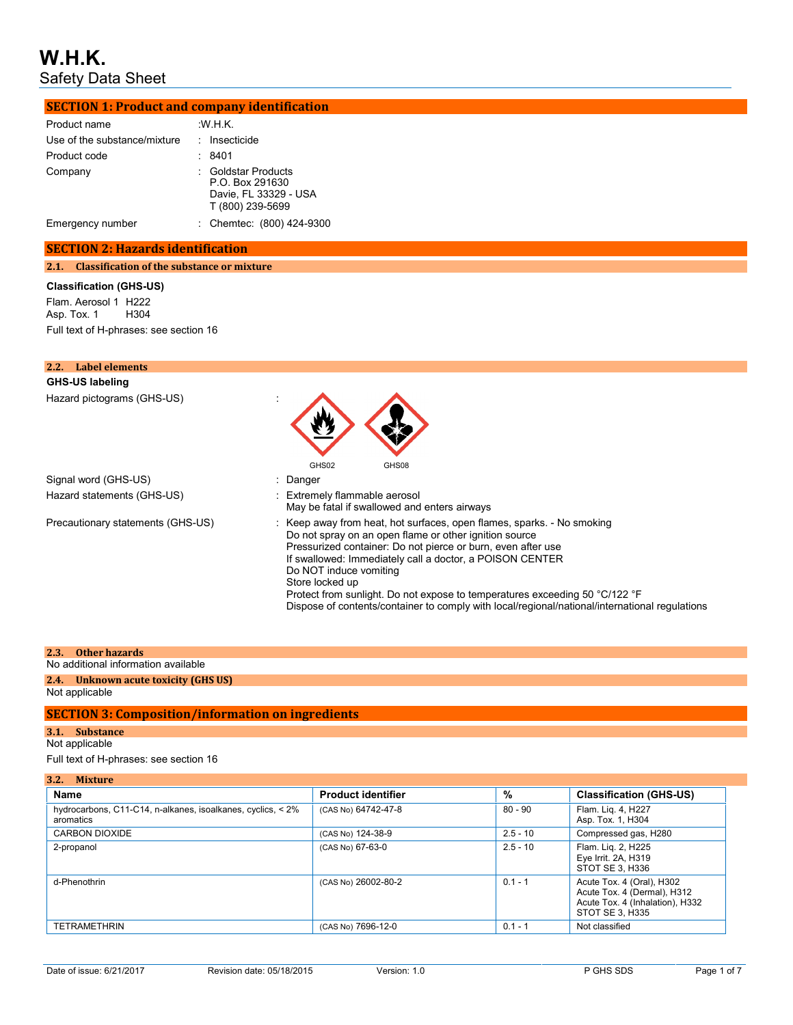| <b>SECTION 1: Product and company identification</b> |                                                                                                                                                                                                                                                                                                                                                                                                                                                                                            |
|------------------------------------------------------|--------------------------------------------------------------------------------------------------------------------------------------------------------------------------------------------------------------------------------------------------------------------------------------------------------------------------------------------------------------------------------------------------------------------------------------------------------------------------------------------|
| Product name                                         | W.H.K.                                                                                                                                                                                                                                                                                                                                                                                                                                                                                     |
| Use of the substance/mixture                         | : Insecticide                                                                                                                                                                                                                                                                                                                                                                                                                                                                              |
| Product code                                         | : 8401                                                                                                                                                                                                                                                                                                                                                                                                                                                                                     |
| Company                                              | <b>Goldstar Products</b>                                                                                                                                                                                                                                                                                                                                                                                                                                                                   |
|                                                      | P.O. Box 291630<br>Davie, FL 33329 - USA<br>T (800) 239-5699                                                                                                                                                                                                                                                                                                                                                                                                                               |
| Emergency number                                     | : Chemtec: (800) 424-9300                                                                                                                                                                                                                                                                                                                                                                                                                                                                  |
| <b>SECTION 2: Hazards identification</b>             |                                                                                                                                                                                                                                                                                                                                                                                                                                                                                            |
| 2.1. Classification of the substance or mixture      |                                                                                                                                                                                                                                                                                                                                                                                                                                                                                            |
| <b>Classification (GHS-US)</b>                       |                                                                                                                                                                                                                                                                                                                                                                                                                                                                                            |
| Flam. Aerosol 1 H222<br>H304<br>Asp. Tox. 1          |                                                                                                                                                                                                                                                                                                                                                                                                                                                                                            |
| Full text of H-phrases: see section 16               |                                                                                                                                                                                                                                                                                                                                                                                                                                                                                            |
|                                                      |                                                                                                                                                                                                                                                                                                                                                                                                                                                                                            |
| <b>Label elements</b><br>2.2.                        |                                                                                                                                                                                                                                                                                                                                                                                                                                                                                            |
| <b>GHS-US labeling</b>                               |                                                                                                                                                                                                                                                                                                                                                                                                                                                                                            |
| Hazard pictograms (GHS-US)                           | GHS02<br>GHS08                                                                                                                                                                                                                                                                                                                                                                                                                                                                             |
| Signal word (GHS-US)                                 | Danger                                                                                                                                                                                                                                                                                                                                                                                                                                                                                     |
| Hazard statements (GHS-US)                           | Extremely flammable aerosol<br>May be fatal if swallowed and enters airways                                                                                                                                                                                                                                                                                                                                                                                                                |
| Precautionary statements (GHS-US)                    | : Keep away from heat, hot surfaces, open flames, sparks. - No smoking<br>Do not spray on an open flame or other ignition source<br>Pressurized container: Do not pierce or burn, even after use<br>If swallowed: Immediately call a doctor, a POISON CENTER<br>Do NOT induce vomiting<br>Store locked up<br>Protect from sunlight. Do not expose to temperatures exceeding 50 °C/122 °F<br>Dispose of contents/container to comply with local/regional/national/international regulations |

### **2.3. Other hazards**

## No additional information available

#### **2.4. Unknown acute toxicity (GHS US)** Not applicable

### **SECTION 3: Composition/information on ingredients**

#### **3.1. Substance**

#### Not applicable

Full text of H-phrases: see section 16

| Name                                                                     | <b>Product identifier</b> | %          | <b>Classification (GHS-US)</b>                                                                                 |
|--------------------------------------------------------------------------|---------------------------|------------|----------------------------------------------------------------------------------------------------------------|
| hydrocarbons, C11-C14, n-alkanes, isoalkanes, cyclics, < 2%<br>aromatics | (CAS No) 64742-47-8       | $80 - 90$  | Flam. Lig. 4, H227<br>Asp. Tox. 1, H304                                                                        |
| CARBON DIOXIDE                                                           | (CAS No) 124-38-9         | $2.5 - 10$ | Compressed gas, H280                                                                                           |
| 2-propanol                                                               | (CAS No) 67-63-0          | $2.5 - 10$ | Flam. Lig. 2, H225<br>Eye Irrit. 2A, H319<br>STOT SE 3, H336                                                   |
| d-Phenothrin                                                             | (CAS No) 26002-80-2       | $0.1 - 1$  | Acute Tox. 4 (Oral), H302<br>Acute Tox. 4 (Dermal), H312<br>Acute Tox. 4 (Inhalation), H332<br>STOT SE 3. H335 |
| <b>TETRAMETHRIN</b>                                                      | (CAS No) 7696-12-0        | $0.1 - 1$  | Not classified                                                                                                 |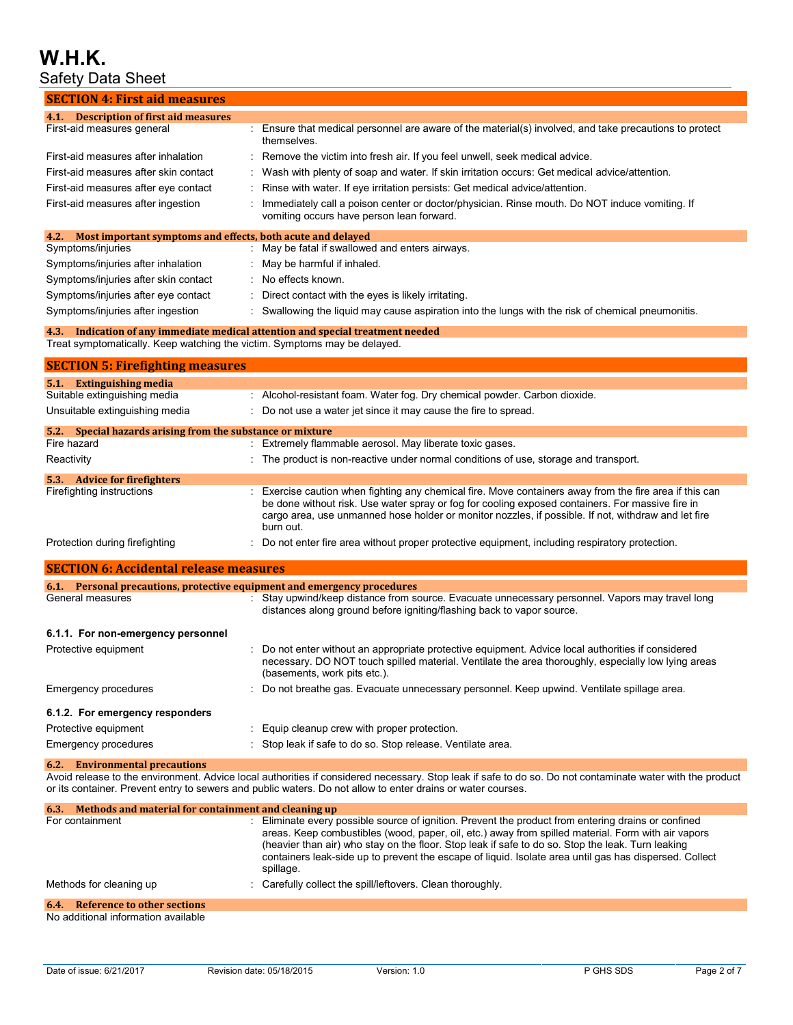# **W.H.K.**

## Safety Data Sheet

| Safety Data Sheet                                                         |                                                                                                                                                                                                                                                                                                                                 |
|---------------------------------------------------------------------------|---------------------------------------------------------------------------------------------------------------------------------------------------------------------------------------------------------------------------------------------------------------------------------------------------------------------------------|
| <b>SECTION 4: First aid measures</b>                                      |                                                                                                                                                                                                                                                                                                                                 |
| 4.1. Description of first aid measures                                    |                                                                                                                                                                                                                                                                                                                                 |
| First-aid measures general                                                | : Ensure that medical personnel are aware of the material(s) involved, and take precautions to protect<br>themselves.                                                                                                                                                                                                           |
| First-aid measures after inhalation                                       | Remove the victim into fresh air. If you feel unwell, seek medical advice.                                                                                                                                                                                                                                                      |
| First-aid measures after skin contact                                     | Wash with plenty of soap and water. If skin irritation occurs: Get medical advice/attention.                                                                                                                                                                                                                                    |
| First-aid measures after eye contact                                      | Rinse with water. If eye irritation persists: Get medical advice/attention.                                                                                                                                                                                                                                                     |
| First-aid measures after ingestion                                        | Immediately call a poison center or doctor/physician. Rinse mouth. Do NOT induce vomiting. If<br>vomiting occurs have person lean forward.                                                                                                                                                                                      |
| 4.2.<br>Most important symptoms and effects, both acute and delayed       |                                                                                                                                                                                                                                                                                                                                 |
| Symptoms/injuries                                                         | May be fatal if swallowed and enters airways.<br>÷                                                                                                                                                                                                                                                                              |
| Symptoms/injuries after inhalation                                        | May be harmful if inhaled.                                                                                                                                                                                                                                                                                                      |
| Symptoms/injuries after skin contact                                      | No effects known.                                                                                                                                                                                                                                                                                                               |
| Symptoms/injuries after eye contact                                       | Direct contact with the eyes is likely irritating.                                                                                                                                                                                                                                                                              |
| Symptoms/injuries after ingestion                                         | Swallowing the liquid may cause aspiration into the lungs with the risk of chemical pneumonitis.                                                                                                                                                                                                                                |
|                                                                           | 4.3. Indication of any immediate medical attention and special treatment needed                                                                                                                                                                                                                                                 |
| Treat symptomatically. Keep watching the victim. Symptoms may be delayed. |                                                                                                                                                                                                                                                                                                                                 |
| <b>SECTION 5: Firefighting measures</b>                                   |                                                                                                                                                                                                                                                                                                                                 |
| 5.1. Extinguishing media                                                  |                                                                                                                                                                                                                                                                                                                                 |
| Suitable extinguishing media                                              | : Alcohol-resistant foam. Water fog. Dry chemical powder. Carbon dioxide.                                                                                                                                                                                                                                                       |
| Unsuitable extinguishing media                                            | Do not use a water jet since it may cause the fire to spread.                                                                                                                                                                                                                                                                   |
| 5.2. Special hazards arising from the substance or mixture                |                                                                                                                                                                                                                                                                                                                                 |
| Fire hazard                                                               | : Extremely flammable aerosol. May liberate toxic gases.                                                                                                                                                                                                                                                                        |
| Reactivity                                                                | : The product is non-reactive under normal conditions of use, storage and transport.                                                                                                                                                                                                                                            |
| 5.3. Advice for firefighters                                              |                                                                                                                                                                                                                                                                                                                                 |
| Firefighting instructions                                                 | : Exercise caution when fighting any chemical fire. Move containers away from the fire area if this can<br>be done without risk. Use water spray or fog for cooling exposed containers. For massive fire in<br>cargo area, use unmanned hose holder or monitor nozzles, if possible. If not, withdraw and let fire<br>burn out. |
| Protection during firefighting                                            | Do not enter fire area without proper protective equipment, including respiratory protection.                                                                                                                                                                                                                                   |
| <b>SECTION 6: Accidental release measures</b>                             |                                                                                                                                                                                                                                                                                                                                 |
| 6.1. Personal precautions, protective equipment and emergency procedures  |                                                                                                                                                                                                                                                                                                                                 |
| General measures                                                          | : Stay upwind/keep distance from source. Evacuate unnecessary personnel. Vapors may travel long<br>distances along ground before igniting/flashing back to vapor source.                                                                                                                                                        |
| 6.1.1. For non-emergency personnel                                        |                                                                                                                                                                                                                                                                                                                                 |
| Protective equipment                                                      | Do not enter without an appropriate protective equipment. Advice local authorities if considered<br>necessary. DO NOT touch spilled material. Ventilate the area thoroughly, especially low lying areas<br>(basements, work pits etc.).                                                                                         |
| Emergency procedures                                                      | Do not breathe gas. Evacuate unnecessary personnel. Keep upwind. Ventilate spillage area.                                                                                                                                                                                                                                       |
| 6.1.2. For emergency responders                                           |                                                                                                                                                                                                                                                                                                                                 |
| Protective equipment                                                      | Equip cleanup crew with proper protection.                                                                                                                                                                                                                                                                                      |

Emergency procedures : Stop leak if safe to do so. Stop release. Ventilate area.

**6.2. Environmental precautions**

Avoid release to the environment. Advice local authorities if considered necessary. Stop leak if safe to do so. Do not contaminate water with the product or its container. Prevent entry to sewers and public waters. Do not allow to enter drains or water courses.

| 6.3. Methods and material for containment and cleaning up |                                                                                                                                                                                                                                                                                                                                                                                                                                       |
|-----------------------------------------------------------|---------------------------------------------------------------------------------------------------------------------------------------------------------------------------------------------------------------------------------------------------------------------------------------------------------------------------------------------------------------------------------------------------------------------------------------|
| For containment                                           | : Eliminate every possible source of ignition. Prevent the product from entering drains or confined<br>areas. Keep combustibles (wood, paper, oil, etc.) away from spilled material. Form with air vapors<br>(heavier than air) who stay on the floor. Stop leak if safe to do so. Stop the leak. Turn leaking<br>containers leak-side up to prevent the escape of liquid. Isolate area until gas has dispersed. Collect<br>spillage. |
| Methods for cleaning up                                   | : Carefully collect the spill/leftovers. Clean thoroughly.                                                                                                                                                                                                                                                                                                                                                                            |
| 6.4. Reference to other sections                          |                                                                                                                                                                                                                                                                                                                                                                                                                                       |
| No additional information available                       |                                                                                                                                                                                                                                                                                                                                                                                                                                       |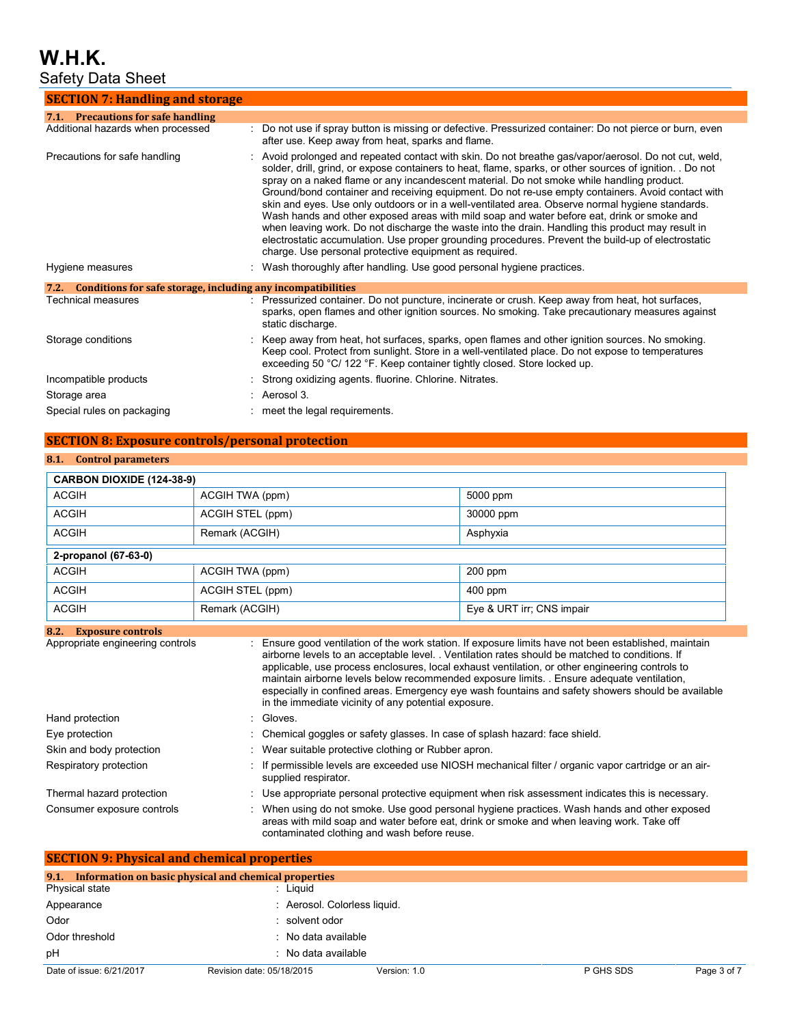# **W.H.K.**

Safety Data Sheet

| <b>SECTION 7: Handling and storage</b>                               |                                                                                                                                                                                                                                                                                                                                                                                                                                                                                                                                                                                                                                                                                                                                                                                                                                                                                             |
|----------------------------------------------------------------------|---------------------------------------------------------------------------------------------------------------------------------------------------------------------------------------------------------------------------------------------------------------------------------------------------------------------------------------------------------------------------------------------------------------------------------------------------------------------------------------------------------------------------------------------------------------------------------------------------------------------------------------------------------------------------------------------------------------------------------------------------------------------------------------------------------------------------------------------------------------------------------------------|
| 7.1. Precautions for safe handling                                   |                                                                                                                                                                                                                                                                                                                                                                                                                                                                                                                                                                                                                                                                                                                                                                                                                                                                                             |
| Additional hazards when processed                                    | Do not use if spray button is missing or defective. Pressurized container: Do not pierce or burn, even<br>after use. Keep away from heat, sparks and flame.                                                                                                                                                                                                                                                                                                                                                                                                                                                                                                                                                                                                                                                                                                                                 |
| Precautions for safe handling                                        | : Avoid prolonged and repeated contact with skin. Do not breathe gas/vapor/aerosol. Do not cut, weld,<br>solder, drill, grind, or expose containers to heat, flame, sparks, or other sources of ignition. . Do not<br>spray on a naked flame or any incandescent material. Do not smoke while handling product.<br>Ground/bond container and receiving equipment. Do not re-use empty containers. Avoid contact with<br>skin and eyes. Use only outdoors or in a well-ventilated area. Observe normal hygiene standards.<br>Wash hands and other exposed areas with mild soap and water before eat, drink or smoke and<br>when leaving work. Do not discharge the waste into the drain. Handling this product may result in<br>electrostatic accumulation. Use proper grounding procedures. Prevent the build-up of electrostatic<br>charge. Use personal protective equipment as required. |
| Hygiene measures                                                     | : Wash thoroughly after handling. Use good personal hygiene practices.                                                                                                                                                                                                                                                                                                                                                                                                                                                                                                                                                                                                                                                                                                                                                                                                                      |
| Conditions for safe storage, including any incompatibilities<br>7.2. |                                                                                                                                                                                                                                                                                                                                                                                                                                                                                                                                                                                                                                                                                                                                                                                                                                                                                             |
| Technical measures                                                   | Pressurized container. Do not puncture, incinerate or crush. Keep away from heat, hot surfaces,<br>sparks, open flames and other ignition sources. No smoking. Take precautionary measures against<br>static discharge.                                                                                                                                                                                                                                                                                                                                                                                                                                                                                                                                                                                                                                                                     |
| Storage conditions                                                   | Keep away from heat, hot surfaces, sparks, open flames and other ignition sources. No smoking.<br>Keep cool. Protect from sunlight. Store in a well-ventilated place. Do not expose to temperatures<br>exceeding 50 °C/ 122 °F. Keep container tightly closed. Store locked up.                                                                                                                                                                                                                                                                                                                                                                                                                                                                                                                                                                                                             |
| Incompatible products                                                | Strong oxidizing agents. fluorine. Chlorine. Nitrates.                                                                                                                                                                                                                                                                                                                                                                                                                                                                                                                                                                                                                                                                                                                                                                                                                                      |
| Storage area                                                         | $:$ Aerosol 3.                                                                                                                                                                                                                                                                                                                                                                                                                                                                                                                                                                                                                                                                                                                                                                                                                                                                              |
| Special rules on packaging                                           | : meet the legal requirements.                                                                                                                                                                                                                                                                                                                                                                                                                                                                                                                                                                                                                                                                                                                                                                                                                                                              |

## **SECTION 8: Exposure controls/personal protection**

## **8.1. Control parameters**

| <b>CARBON DIOXIDE (124-38-9)</b> |                                                                                            |                                                                                                                                                                                                                                                                                                                                                                                                                                                                                                            |  |  |
|----------------------------------|--------------------------------------------------------------------------------------------|------------------------------------------------------------------------------------------------------------------------------------------------------------------------------------------------------------------------------------------------------------------------------------------------------------------------------------------------------------------------------------------------------------------------------------------------------------------------------------------------------------|--|--|
| <b>ACGIH</b>                     | ACGIH TWA (ppm)                                                                            | 5000 ppm                                                                                                                                                                                                                                                                                                                                                                                                                                                                                                   |  |  |
| <b>ACGIH</b>                     | ACGIH STEL (ppm)                                                                           | 30000 ppm                                                                                                                                                                                                                                                                                                                                                                                                                                                                                                  |  |  |
| <b>ACGIH</b>                     | Remark (ACGIH)                                                                             | Asphyxia                                                                                                                                                                                                                                                                                                                                                                                                                                                                                                   |  |  |
| 2-propanol (67-63-0)             |                                                                                            |                                                                                                                                                                                                                                                                                                                                                                                                                                                                                                            |  |  |
| <b>ACGIH</b>                     | ACGIH TWA (ppm)                                                                            | 200 ppm                                                                                                                                                                                                                                                                                                                                                                                                                                                                                                    |  |  |
| <b>ACGIH</b>                     | ACGIH STEL (ppm)                                                                           | 400 ppm                                                                                                                                                                                                                                                                                                                                                                                                                                                                                                    |  |  |
| <b>ACGIH</b>                     | Remark (ACGIH)                                                                             | Eye & URT irr; CNS impair                                                                                                                                                                                                                                                                                                                                                                                                                                                                                  |  |  |
| Appropriate engineering controls | in the immediate vicinity of any potential exposure.                                       | Ensure good ventilation of the work station. If exposure limits have not been established, maintain<br>airborne levels to an acceptable level. Ventilation rates should be matched to conditions. If<br>applicable, use process enclosures, local exhaust ventilation, or other engineering controls to<br>maintain airborne levels below recommended exposure limits. . Ensure adequate ventilation,<br>especially in confined areas. Emergency eye wash fountains and safety showers should be available |  |  |
| Hand protection                  | Gloves.                                                                                    |                                                                                                                                                                                                                                                                                                                                                                                                                                                                                                            |  |  |
| Eye protection                   |                                                                                            | Chemical goggles or safety glasses. In case of splash hazard: face shield.                                                                                                                                                                                                                                                                                                                                                                                                                                 |  |  |
| Skin and body protection         | Wear suitable protective clothing or Rubber apron.                                         |                                                                                                                                                                                                                                                                                                                                                                                                                                                                                                            |  |  |
| Respiratory protection           | supplied respirator.                                                                       | If permissible levels are exceeded use NIOSH mechanical filter / organic vapor cartridge or an air-                                                                                                                                                                                                                                                                                                                                                                                                        |  |  |
| Thermal hazard protection        |                                                                                            | Use appropriate personal protective equipment when risk assessment indicates this is necessary.                                                                                                                                                                                                                                                                                                                                                                                                            |  |  |
| Consumer exposure controls       | When using do not smoke. Use good personal hygiene practices. Wash hands and other exposed |                                                                                                                                                                                                                                                                                                                                                                                                                                                                                                            |  |  |

|                          | <b>SECTION 9: Physical and chemical properties</b>    |              |           |             |
|--------------------------|-------------------------------------------------------|--------------|-----------|-------------|
| 9.1.                     | Information on basic physical and chemical properties |              |           |             |
| Physical state           | : Liguid                                              |              |           |             |
| Appearance               | : Aerosol. Colorless liquid.                          |              |           |             |
| Odor                     | : solvent odor                                        |              |           |             |
| Odor threshold           | : No data available                                   |              |           |             |
| pH                       | : No data available                                   |              |           |             |
| Date of issue: 6/21/2017 | Revision date: 05/18/2015                             | Version: 1.0 | P GHS SDS | Page 3 of 7 |

contaminated clothing and wash before reuse.

areas with mild soap and water before eat, drink or smoke and when leaving work. Take off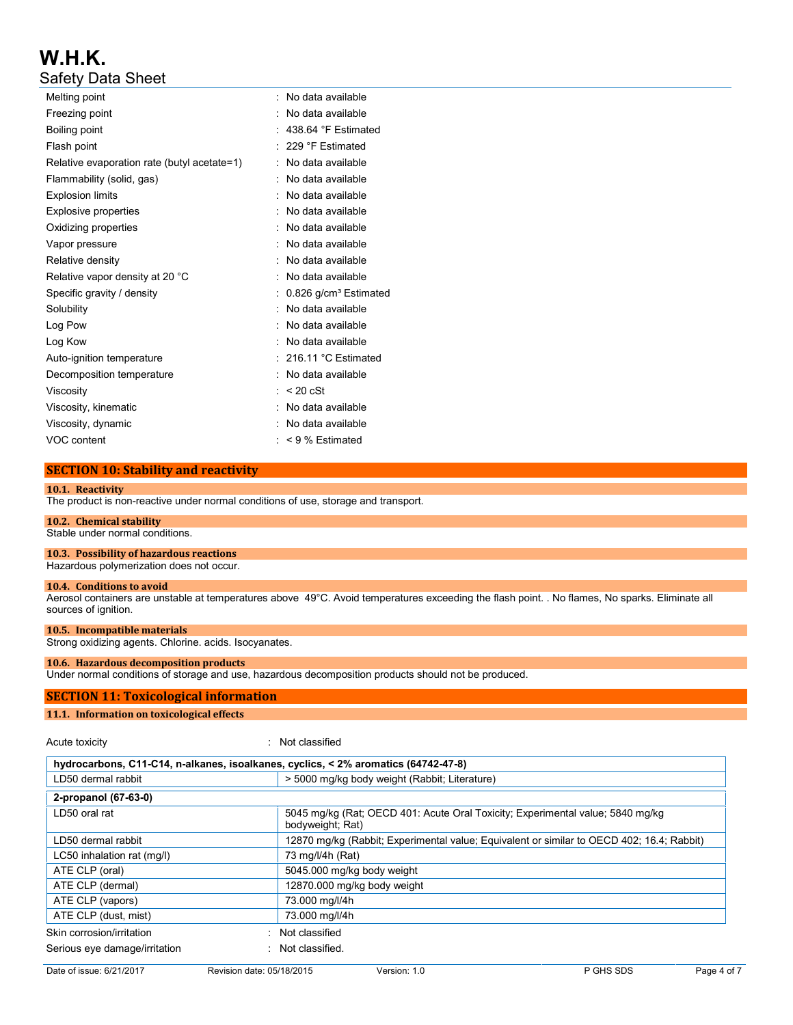| Melting point                               | No data available<br>۰.           |
|---------------------------------------------|-----------------------------------|
| Freezing point                              | No data available                 |
| Boiling point                               | 438.64 °F Estimated               |
| Flash point                                 | 229 °F Estimated                  |
| Relative evaporation rate (butyl acetate=1) | No data available                 |
| Flammability (solid, gas)                   | No data available                 |
| <b>Explosion limits</b>                     | No data available                 |
| Explosive properties                        | No data available                 |
| Oxidizing properties                        | No data available                 |
| Vapor pressure                              | No data available                 |
| Relative density                            | No data available                 |
| Relative vapor density at 20 °C             | No data available                 |
| Specific gravity / density                  | 0.826 g/cm <sup>3</sup> Estimated |
| Solubility                                  | No data available                 |
| Log Pow                                     | No data available                 |
| Log Kow                                     | No data available                 |
| Auto-ignition temperature                   | $: 216.11 °C$ Estimated           |
| Decomposition temperature                   | No data available                 |
| Viscosity                                   | $< 20$ cSt                        |
| Viscosity, kinematic                        | No data available                 |
| Viscosity, dynamic                          | No data available                 |
| VOC content                                 | < 9 % Estimated                   |

## **SECTION 10: Stability and reactivity**

#### **10.1. Reactivity**

The product is non-reactive under normal conditions of use, storage and transport.

#### **10.2. Chemical stability**

Stable under normal conditions.

**10.3. Possibility of hazardous reactions**

Hazardous polymerization does not occur.

#### **10.4. Conditions to avoid**

Aerosol containers are unstable at temperatures above 49°C. Avoid temperatures exceeding the flash point. . No flames, No sparks. Eliminate all sources of ignition.

#### **10.5. Incompatible materials**

Strong oxidizing agents. Chlorine. acids. Isocyanates.

#### **10.6. Hazardous decomposition products**

Under normal conditions of storage and use, hazardous decomposition products should not be produced.

#### **SECTION 11: Toxicological information**

#### **11.1. Information on toxicological effects**

Acute toxicity in the contract of the classified in the classified in the classified in the classified in the classified in the classified in the classified in the classified in the classified in the classified in the clas

| hydrocarbons, C11-C14, n-alkanes, isoalkanes, cyclics, < 2% aromatics (64742-47-8) |                                                                                                    |  |  |
|------------------------------------------------------------------------------------|----------------------------------------------------------------------------------------------------|--|--|
| LD50 dermal rabbit                                                                 | > 5000 mg/kg body weight (Rabbit; Literature)                                                      |  |  |
| 2-propanol (67-63-0)                                                               |                                                                                                    |  |  |
| LD50 oral rat                                                                      | 5045 mg/kg (Rat; OECD 401: Acute Oral Toxicity; Experimental value; 5840 mg/kg<br>bodyweight; Rat) |  |  |
| LD50 dermal rabbit                                                                 | 12870 mg/kg (Rabbit; Experimental value; Equivalent or similar to OECD 402; 16.4; Rabbit)          |  |  |
| LC50 inhalation rat (mg/l)                                                         | 73 mg/l/4h (Rat)                                                                                   |  |  |
| ATE CLP (oral)                                                                     | 5045.000 mg/kg body weight                                                                         |  |  |
| ATE CLP (dermal)                                                                   | 12870.000 mg/kg body weight                                                                        |  |  |
| ATE CLP (vapors)                                                                   | 73.000 mg/l/4h                                                                                     |  |  |
| ATE CLP (dust, mist)                                                               | 73.000 mg/l/4h                                                                                     |  |  |
| Skin corrosion/irritation                                                          | Not classified                                                                                     |  |  |
| Serious eye damage/irritation                                                      | Not classified.                                                                                    |  |  |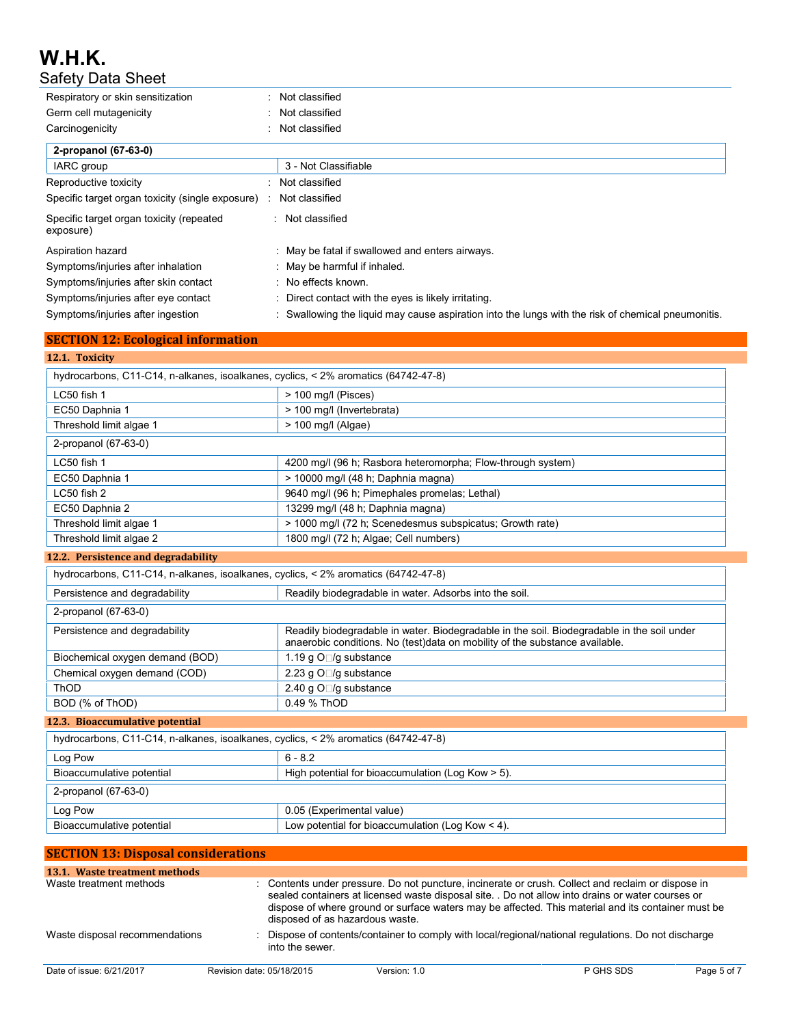**SECTION 12: Ecological information**

| Respiratory or skin sensitization                     | Not classified                                                                                     |
|-------------------------------------------------------|----------------------------------------------------------------------------------------------------|
| Germ cell mutagenicity                                | Not classified                                                                                     |
| Carcinogenicity                                       | Not classified                                                                                     |
| 2-propanol (67-63-0)                                  |                                                                                                    |
| IARC group                                            | 3 - Not Classifiable                                                                               |
| Reproductive toxicity                                 | Not classified                                                                                     |
| Specific target organ toxicity (single exposure)      | Not classified                                                                                     |
| Specific target organ toxicity (repeated<br>exposure) | : Not classified                                                                                   |
| Aspiration hazard                                     | : May be fatal if swallowed and enters airways.                                                    |
| Symptoms/injuries after inhalation                    | : May be harmful if inhaled.                                                                       |
| Symptoms/injuries after skin contact                  | : No effects known.                                                                                |
| Symptoms/injuries after eye contact                   | : Direct contact with the eyes is likely irritating.                                               |
| Symptoms/injuries after ingestion                     | : Swallowing the liquid may cause aspiration into the lungs with the risk of chemical pneumonitis. |

| 12.1. Toxicity                                                                          |                                                                                                                                                                           |  |  |  |
|-----------------------------------------------------------------------------------------|---------------------------------------------------------------------------------------------------------------------------------------------------------------------------|--|--|--|
| hydrocarbons, C11-C14, n-alkanes, isoalkanes, cyclics, < 2% aromatics (64742-47-8)      |                                                                                                                                                                           |  |  |  |
| LC50 fish 1                                                                             | > 100 mg/l (Pisces)                                                                                                                                                       |  |  |  |
| EC50 Daphnia 1                                                                          | > 100 mg/l (Invertebrata)                                                                                                                                                 |  |  |  |
| Threshold limit algae 1                                                                 | > 100 mg/l (Algae)                                                                                                                                                        |  |  |  |
| 2-propanol (67-63-0)                                                                    |                                                                                                                                                                           |  |  |  |
| LC50 fish 1                                                                             | 4200 mg/l (96 h; Rasbora heteromorpha; Flow-through system)                                                                                                               |  |  |  |
| EC50 Daphnia 1                                                                          | > 10000 mg/l (48 h; Daphnia magna)                                                                                                                                        |  |  |  |
| LC50 fish 2                                                                             | 9640 mg/l (96 h; Pimephales promelas; Lethal)                                                                                                                             |  |  |  |
| EC50 Daphnia 2                                                                          | 13299 mg/l (48 h; Daphnia magna)                                                                                                                                          |  |  |  |
| Threshold limit algae 1                                                                 | > 1000 mg/l (72 h; Scenedesmus subspicatus; Growth rate)                                                                                                                  |  |  |  |
| Threshold limit algae 2                                                                 | 1800 mg/l (72 h; Algae; Cell numbers)                                                                                                                                     |  |  |  |
| 12.2. Persistence and degradability                                                     |                                                                                                                                                                           |  |  |  |
| hydrocarbons, C11-C14, n-alkanes, isoalkanes, cyclics, < 2% aromatics (64742-47-8)      |                                                                                                                                                                           |  |  |  |
| Persistence and degradability<br>Readily biodegradable in water. Adsorbs into the soil. |                                                                                                                                                                           |  |  |  |
| 2-propanol (67-63-0)                                                                    |                                                                                                                                                                           |  |  |  |
| Persistence and degradability                                                           | Readily biodegradable in water. Biodegradable in the soil. Biodegradable in the soil under<br>anaerobic conditions. No (test)data on mobility of the substance available. |  |  |  |
| Biochemical oxygen demand (BOD)                                                         | 1.19 g O□/g substance                                                                                                                                                     |  |  |  |
| Chemical oxygen demand (COD)                                                            | 2.23 g O□/g substance                                                                                                                                                     |  |  |  |
| ThOD                                                                                    | 2.40 g O□/g substance                                                                                                                                                     |  |  |  |
| BOD (% of ThOD)                                                                         | 0.49 % ThOD                                                                                                                                                               |  |  |  |
| 12.3. Bioaccumulative potential                                                         |                                                                                                                                                                           |  |  |  |
| hydrocarbons, C11-C14, n-alkanes, isoalkanes, cyclics, < 2% aromatics (64742-47-8)      |                                                                                                                                                                           |  |  |  |
| Log Pow                                                                                 | $6 - 8.2$                                                                                                                                                                 |  |  |  |
| Bioaccumulative potential                                                               | High potential for bioaccumulation (Log Kow > 5).                                                                                                                         |  |  |  |
| 2-propanol (67-63-0)                                                                    |                                                                                                                                                                           |  |  |  |
| Log Pow                                                                                 | 0.05 (Experimental value)                                                                                                                                                 |  |  |  |
| Bioaccumulative potential                                                               | Low potential for bioaccumulation (Log Kow $\leq 4$ ).                                                                                                                    |  |  |  |

| <b>SECTION 13: Disposal considerations</b> |                                 |              |                                                                                                                                                                                                                                                                                                               |             |
|--------------------------------------------|---------------------------------|--------------|---------------------------------------------------------------------------------------------------------------------------------------------------------------------------------------------------------------------------------------------------------------------------------------------------------------|-------------|
| 13.1. Waste treatment methods              |                                 |              |                                                                                                                                                                                                                                                                                                               |             |
| Waste treatment methods                    | disposed of as hazardous waste. |              | : Contents under pressure. Do not puncture, incinerate or crush. Collect and reclaim or dispose in<br>sealed containers at licensed waste disposal site. . Do not allow into drains or water courses or<br>dispose of where ground or surface waters may be affected. This material and its container must be |             |
| Waste disposal recommendations             | into the sewer.                 |              | Dispose of contents/container to comply with local/regional/national regulations. Do not discharge                                                                                                                                                                                                            |             |
| Date of issue: 6/21/2017                   | Revision date: 05/18/2015       | Version: 1.0 | P GHS SDS                                                                                                                                                                                                                                                                                                     | Page 5 of 7 |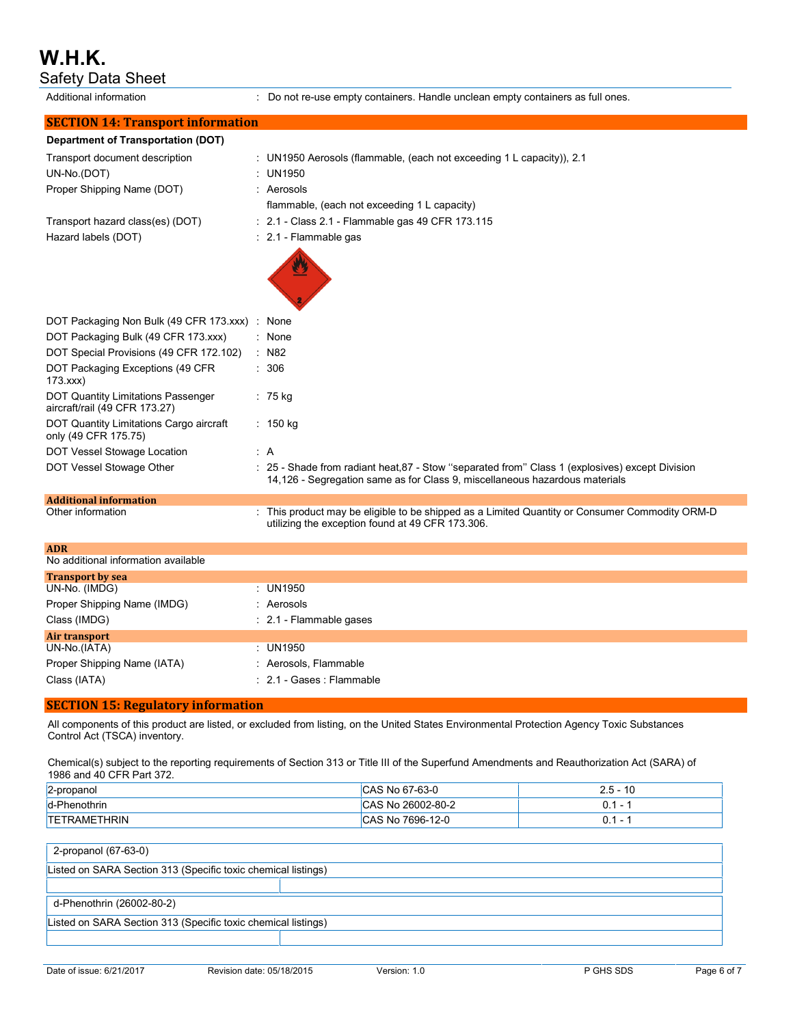# **W.H.K.**

Safety Data Sheet

Additional information : Do not re-use empty containers. Handle unclean empty containers as full ones.

| <b>SECTION 14: Transport information</b>                            |                                                                                                                                                                                |
|---------------------------------------------------------------------|--------------------------------------------------------------------------------------------------------------------------------------------------------------------------------|
| <b>Department of Transportation (DOT)</b>                           |                                                                                                                                                                                |
| Transport document description                                      | : UN1950 Aerosols (flammable, (each not exceeding 1 L capacity)), 2.1                                                                                                          |
| UN-No.(DOT)                                                         | : UN1950                                                                                                                                                                       |
| Proper Shipping Name (DOT)                                          | : Aerosols                                                                                                                                                                     |
|                                                                     | flammable, (each not exceeding 1 L capacity)                                                                                                                                   |
| Transport hazard class(es) (DOT)                                    | : 2.1 - Class 2.1 - Flammable gas 49 CFR 173.115                                                                                                                               |
| Hazard labels (DOT)                                                 | : 2.1 - Flammable gas                                                                                                                                                          |
|                                                                     |                                                                                                                                                                                |
|                                                                     |                                                                                                                                                                                |
| DOT Packaging Non Bulk (49 CFR 173.xxx) :                           | None                                                                                                                                                                           |
| DOT Packaging Bulk (49 CFR 173.xxx)                                 | : None                                                                                                                                                                         |
| DOT Special Provisions (49 CFR 172.102)                             | $:$ N82                                                                                                                                                                        |
| DOT Packaging Exceptions (49 CFR<br>173.xxx                         | : 306                                                                                                                                                                          |
| DOT Quantity Limitations Passenger<br>aircraft/rail (49 CFR 173.27) | $: 75$ kg                                                                                                                                                                      |
| DOT Quantity Limitations Cargo aircraft<br>only (49 CFR 175.75)     | : 150 kg                                                                                                                                                                       |
| DOT Vessel Stowage Location                                         | : A                                                                                                                                                                            |
| DOT Vessel Stowage Other                                            | : 25 - Shade from radiant heat, 87 - Stow "separated from" Class 1 (explosives) except Division<br>14,126 - Segregation same as for Class 9, miscellaneous hazardous materials |
| <b>Additional information</b>                                       |                                                                                                                                                                                |
| Other information                                                   | : This product may be eligible to be shipped as a Limited Quantity or Consumer Commodity ORM-D<br>utilizing the exception found at 49 CFR 173.306.                             |
| <b>ADR</b>                                                          |                                                                                                                                                                                |
| No additional information available                                 |                                                                                                                                                                                |
| <b>Transport by sea</b>                                             |                                                                                                                                                                                |
| UN-No. (IMDG)                                                       | : UN1950                                                                                                                                                                       |
| Proper Shipping Name (IMDG)                                         | : Aerosols                                                                                                                                                                     |
| Class (IMDG)                                                        | : 2.1 - Flammable gases                                                                                                                                                        |
| <b>Air transport</b>                                                | : UN1950                                                                                                                                                                       |
| UN-No.(IATA)                                                        |                                                                                                                                                                                |
| Proper Shipping Name (IATA)                                         | : Aerosols, Flammable                                                                                                                                                          |

Class (IATA) : 2.1 - Gases : Flammable

### **SECTION 15: Regulatory information**

All components of this product are listed, or excluded from listing, on the United States Environmental Protection Agency Toxic Substances Control Act (TSCA) inventory.

Chemical(s) subject to the reporting requirements of Section 313 or Title III of the Superfund Amendments and Reauthorization Act (SARA) of 1986 and 40 CFR Part 372.

| 2-propanol          | CAS No 67-63-0    | $2.5 -$<br>$\overline{10}$<br>14 |
|---------------------|-------------------|----------------------------------|
| d-Phenothrin        | CAS No 26002-80-2 | $\overline{\phantom{0}}$         |
| <b>TETRAMETHRIN</b> | CAS No 7696-12-0  | $\overline{\phantom{0}}$         |

2-propanol (67-63-0)

Listed on SARA Section 313 (Specific toxic chemical listings) d-Phenothrin (26002-80-2) Listed on SARA Section 313 (Specific toxic chemical listings)